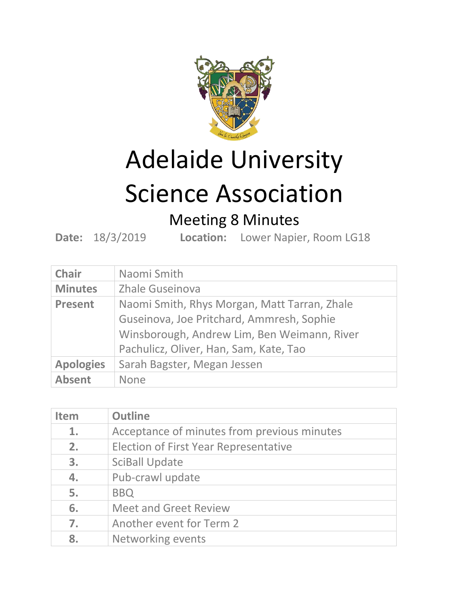

# Adelaide University

# Science Association

## Meeting 8 Minutes

**Date:** 18/3/2019 **Location:** Lower Napier, Room LG18

| <b>Chair</b>     | Naomi Smith                                                                                                                                                                        |
|------------------|------------------------------------------------------------------------------------------------------------------------------------------------------------------------------------|
| <b>Minutes</b>   | Zhale Guseinova                                                                                                                                                                    |
| <b>Present</b>   | Naomi Smith, Rhys Morgan, Matt Tarran, Zhale<br>Guseinova, Joe Pritchard, Ammresh, Sophie<br>Winsborough, Andrew Lim, Ben Weimann, River<br>Pachulicz, Oliver, Han, Sam, Kate, Tao |
| <b>Apologies</b> | Sarah Bagster, Megan Jessen                                                                                                                                                        |
| <b>Absent</b>    | <b>None</b>                                                                                                                                                                        |

| <b>Item</b> | <b>Outline</b>                               |
|-------------|----------------------------------------------|
| 1.          | Acceptance of minutes from previous minutes  |
| 2.          | <b>Election of First Year Representative</b> |
| 3.          | <b>SciBall Update</b>                        |
| 4.          | Pub-crawl update                             |
| 5.          | <b>BBQ</b>                                   |
| 6.          | <b>Meet and Greet Review</b>                 |
| 7.          | Another event for Term 2                     |
| 8.          | Networking events                            |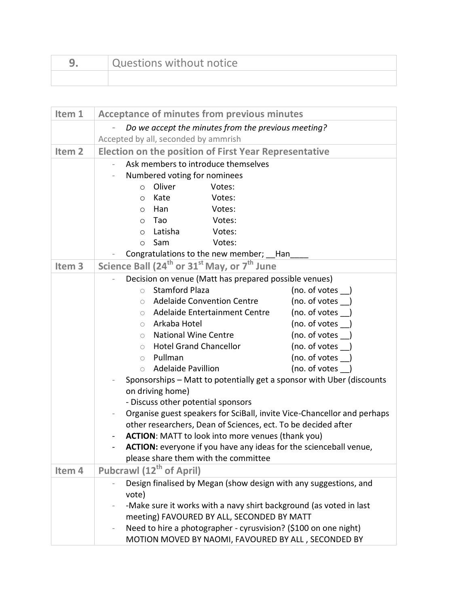| Questions without notice |
|--------------------------|
|                          |

| Item 1            | <b>Acceptance of minutes from previous minutes</b>                                                                                       |  |
|-------------------|------------------------------------------------------------------------------------------------------------------------------------------|--|
|                   | Do we accept the minutes from the previous meeting?                                                                                      |  |
|                   | Accepted by all, seconded by ammrish                                                                                                     |  |
| Item <sub>2</sub> | <b>Election on the position of First Year Representative</b>                                                                             |  |
|                   | Ask members to introduce themselves                                                                                                      |  |
|                   | Numbered voting for nominees                                                                                                             |  |
|                   | Oliver<br>Votes:<br>$\circ$                                                                                                              |  |
|                   | Kate<br>Votes:<br>$\circ$                                                                                                                |  |
|                   | Han<br>Votes:<br>$\circ$                                                                                                                 |  |
|                   | Tao<br>Votes:<br>$\circ$                                                                                                                 |  |
|                   | Latisha<br>Votes:<br>$\circ$                                                                                                             |  |
|                   | Sam<br>Votes:<br>$\circ$                                                                                                                 |  |
|                   | Congratulations to the new member; __ Han                                                                                                |  |
| Item <sub>3</sub> | Science Ball (24 <sup>th</sup> or 31 <sup>st</sup> May, or 7 <sup>th</sup> June                                                          |  |
|                   | Decision on venue (Matt has prepared possible venues)                                                                                    |  |
|                   | <b>Stamford Plaza</b><br>(no. of votes )<br>$\bigcirc$                                                                                   |  |
|                   | (no. of votes )<br><b>Adelaide Convention Centre</b><br>$\bigcirc$                                                                       |  |
|                   | Adelaide Entertainment Centre<br>(no. of votes<br>$\circ$                                                                                |  |
|                   | Arkaba Hotel<br>(no. of votes )<br>$\bigcirc$                                                                                            |  |
|                   | <b>National Wine Centre</b><br>(no. of votes<br>$\circ$                                                                                  |  |
|                   | <b>Hotel Grand Chancellor</b><br>(no. of votes )<br>$\bigcirc$                                                                           |  |
|                   | Pullman<br>(no. of votes<br>$\bigcirc$                                                                                                   |  |
|                   | <b>Adelaide Pavillion</b><br>(no. of votes )<br>$\bigcirc$                                                                               |  |
|                   | Sponsorships - Matt to potentially get a sponsor with Uber (discounts                                                                    |  |
|                   | on driving home)                                                                                                                         |  |
|                   | - Discuss other potential sponsors                                                                                                       |  |
|                   | Organise guest speakers for SciBall, invite Vice-Chancellor and perhaps<br>other researchers, Dean of Sciences, ect. To be decided after |  |
|                   | ACTION: MATT to look into more venues (thank you)                                                                                        |  |
|                   | <b>ACTION:</b> everyone if you have any ideas for the scienceball venue,                                                                 |  |
|                   | please share them with the committee                                                                                                     |  |
| Item 4            | Pubcrawl (12 <sup>th</sup> of April)                                                                                                     |  |
|                   | Design finalised by Megan (show design with any suggestions, and                                                                         |  |
|                   | vote)                                                                                                                                    |  |
|                   | -Make sure it works with a navy shirt background (as voted in last                                                                       |  |
|                   | meeting) FAVOURED BY ALL, SECONDED BY MATT                                                                                               |  |
|                   | Need to hire a photographer - cyrusvision? (\$100 on one night)                                                                          |  |
|                   | MOTION MOVED BY NAOMI, FAVOURED BY ALL, SECONDED BY                                                                                      |  |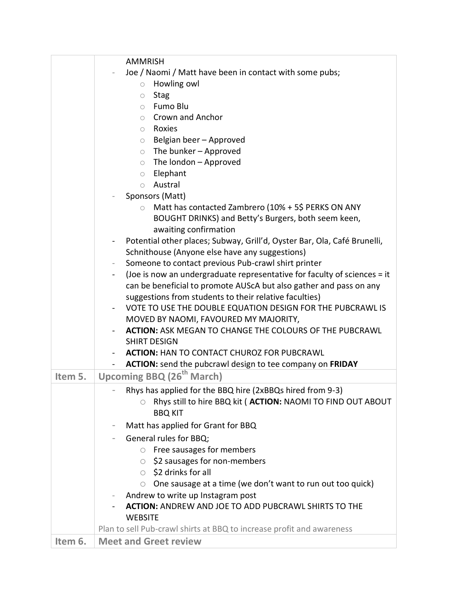|         | <b>AMMRISH</b>                                                                                                                                              |
|---------|-------------------------------------------------------------------------------------------------------------------------------------------------------------|
|         | Joe / Naomi / Matt have been in contact with some pubs;                                                                                                     |
|         | Howling owl<br>$\circ$                                                                                                                                      |
|         | <b>Stag</b><br>$\bigcirc$                                                                                                                                   |
|         | Fumo Blu<br>$\circ$                                                                                                                                         |
|         | Crown and Anchor<br>$\circ$                                                                                                                                 |
|         | Roxies<br>$\circ$                                                                                                                                           |
|         | Belgian beer - Approved<br>$\circ$                                                                                                                          |
|         | The bunker - Approved<br>$\circ$                                                                                                                            |
|         | The london - Approved<br>$\circ$                                                                                                                            |
|         | Elephant<br>$\bigcirc$                                                                                                                                      |
|         | Austral<br>$\circ$                                                                                                                                          |
|         | Sponsors (Matt)                                                                                                                                             |
|         | Matt has contacted Zambrero (10% + 5\$ PERKS ON ANY<br>$\circ$                                                                                              |
|         | BOUGHT DRINKS) and Betty's Burgers, both seem keen,                                                                                                         |
|         | awaiting confirmation                                                                                                                                       |
|         | Potential other places; Subway, Grill'd, Oyster Bar, Ola, Café Brunelli,<br>$\overline{\phantom{0}}$                                                        |
|         | Schnithouse (Anyone else have any suggestions)                                                                                                              |
|         | Someone to contact previous Pub-crawl shirt printer<br>$\overline{\phantom{0}}$<br>(Joe is now an undergraduate representative for faculty of sciences = it |
|         | can be beneficial to promote AUScA but also gather and pass on any                                                                                          |
|         | suggestions from students to their relative faculties)                                                                                                      |
|         | VOTE TO USE THE DOUBLE EQUATION DESIGN FOR THE PUBCRAWL IS<br>Ξ.                                                                                            |
|         | MOVED BY NAOMI, FAVOURED MY MAJORITY,                                                                                                                       |
|         | <b>ACTION: ASK MEGAN TO CHANGE THE COLOURS OF THE PUBCRAWL</b>                                                                                              |
|         | <b>SHIRT DESIGN</b>                                                                                                                                         |
|         | <b>ACTION: HAN TO CONTACT CHUROZ FOR PUBCRAWL</b>                                                                                                           |
|         | ACTION: send the pubcrawl design to tee company on FRIDAY<br>$\blacksquare$                                                                                 |
| Item 5. | Upcoming BBQ (26 <sup>th</sup> March)                                                                                                                       |
|         | Rhys has applied for the BBQ hire (2xBBQs hired from 9-3)                                                                                                   |
|         | Rhys still to hire BBQ kit ( ACTION: NAOMI TO FIND OUT ABOUT<br>$\circ$                                                                                     |
|         | <b>BBQ KIT</b>                                                                                                                                              |
|         | Matt has applied for Grant for BBQ                                                                                                                          |
|         | General rules for BBQ;                                                                                                                                      |
|         | $\circ$ Free sausages for members                                                                                                                           |
|         | $\circ$ \$2 sausages for non-members                                                                                                                        |
|         | $\circ$ \$2 drinks for all                                                                                                                                  |
|         | One sausage at a time (we don't want to run out too quick)<br>$\circ$                                                                                       |
|         | Andrew to write up Instagram post                                                                                                                           |
|         | <b>ACTION: ANDREW AND JOE TO ADD PUBCRAWL SHIRTS TO THE</b>                                                                                                 |
|         | <b>WEBSITE</b>                                                                                                                                              |
|         | Plan to sell Pub-crawl shirts at BBQ to increase profit and awareness                                                                                       |
| Item 6. | <b>Meet and Greet review</b>                                                                                                                                |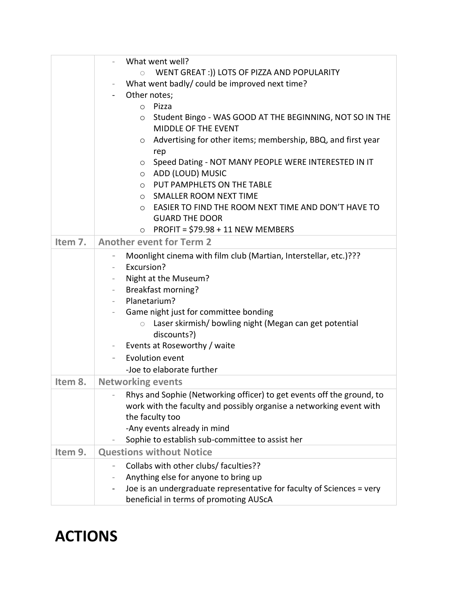|         | What went well?                                                                                   |
|---------|---------------------------------------------------------------------------------------------------|
|         | WENT GREAT :)) LOTS OF PIZZA AND POPULARITY<br>$\circ$                                            |
|         | What went badly/ could be improved next time?                                                     |
|         | Other notes;<br>$\blacksquare$                                                                    |
|         | Pizza<br>$\circ$                                                                                  |
|         | Student Bingo - WAS GOOD AT THE BEGINNING, NOT SO IN THE<br>$\circ$<br><b>MIDDLE OF THE EVENT</b> |
|         | Advertising for other items; membership, BBQ, and first year<br>$\circ$                           |
|         | rep                                                                                               |
|         | Speed Dating - NOT MANY PEOPLE WERE INTERESTED IN IT<br>$\circ$                                   |
|         | ADD (LOUD) MUSIC<br>$\circ$                                                                       |
|         | PUT PAMPHLETS ON THE TABLE<br>$\circ$                                                             |
|         | SMALLER ROOM NEXT TIME<br>$\circ$                                                                 |
|         | EASIER TO FIND THE ROOM NEXT TIME AND DON'T HAVE TO<br>$\circ$                                    |
|         | <b>GUARD THE DOOR</b>                                                                             |
|         | PROFIT = \$79.98 + 11 NEW MEMBERS<br>$\circ$                                                      |
| Item 7. | <b>Another event for Term 2</b>                                                                   |
|         | Moonlight cinema with film club (Martian, Interstellar, etc.)???                                  |
|         | Excursion?<br>$\overline{\phantom{a}}$                                                            |
|         | Night at the Museum?                                                                              |
|         | <b>Breakfast morning?</b><br>$\overline{\phantom{a}}$                                             |
|         | Planetarium?<br>$\overline{\phantom{a}}$                                                          |
|         | Game night just for committee bonding                                                             |
|         | Laser skirmish/ bowling night (Megan can get potential<br>$\bigcirc$                              |
|         | discounts?)                                                                                       |
|         | Events at Roseworthy / waite<br>$\overline{\phantom{a}}$                                          |
|         | Evolution event<br>-Joe to elaborate further                                                      |
|         |                                                                                                   |
| Item 8. | <b>Networking events</b>                                                                          |
|         | Rhys and Sophie (Networking officer) to get events off the ground, to                             |
|         | work with the faculty and possibly organise a networking event with                               |
|         | the faculty too                                                                                   |
|         | -Any events already in mind<br>Sophie to establish sub-committee to assist her                    |
| Item 9. | <b>Questions without Notice</b>                                                                   |
|         |                                                                                                   |
|         | Collabs with other clubs/ faculties??                                                             |
|         | Anything else for anyone to bring up                                                              |
|         | Joe is an undergraduate representative for faculty of Sciences = very                             |
|         | beneficial in terms of promoting AUScA                                                            |